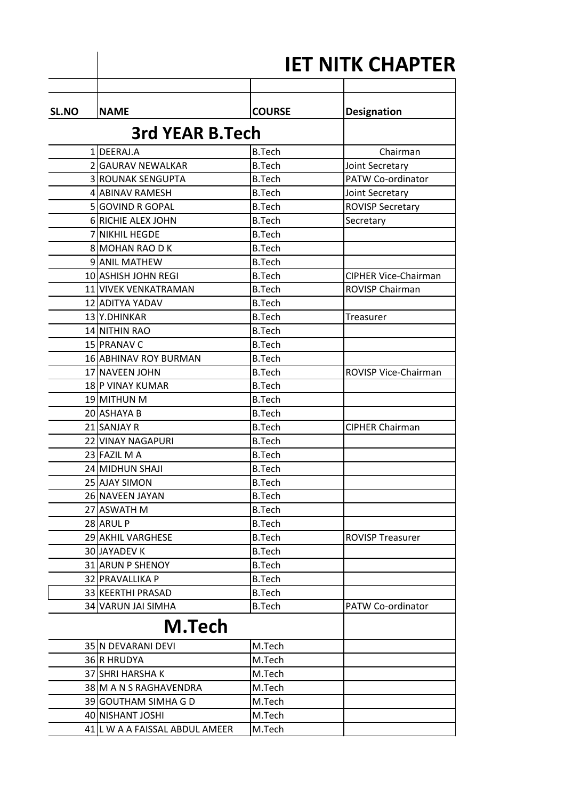|              | <b>IET NITK CHAPTER</b>        |               |                             |  |  |
|--------------|--------------------------------|---------------|-----------------------------|--|--|
| <b>SL.NO</b> | <b>NAME</b>                    | <b>COURSE</b> | <b>Designation</b>          |  |  |
|              | 3rd YEAR B.Tech                |               |                             |  |  |
|              | 1 DEERAJ.A                     | <b>B.Tech</b> | Chairman                    |  |  |
|              | 2 GAURAV NEWALKAR              | <b>B.Tech</b> | Joint Secretary             |  |  |
|              | 3 ROUNAK SENGUPTA              | <b>B.Tech</b> | PATW Co-ordinator           |  |  |
|              | 4 ABINAV RAMESH                | <b>B.Tech</b> | Joint Secretary             |  |  |
|              | 5 GOVIND R GOPAL               | <b>B.Tech</b> | <b>ROVISP Secretary</b>     |  |  |
|              | 6 RICHIE ALEX JOHN             | <b>B.Tech</b> | Secretary                   |  |  |
|              | 7 NIKHIL HEGDE                 | <b>B.Tech</b> |                             |  |  |
|              | 8 MOHAN RAO D K                | <b>B.Tech</b> |                             |  |  |
|              | 9 ANIL MATHEW                  | <b>B.Tech</b> |                             |  |  |
|              | 10 ASHISH JOHN REGI            | <b>B.Tech</b> | <b>CIPHER Vice-Chairman</b> |  |  |
|              | 11 VIVEK VENKATRAMAN           | <b>B.Tech</b> | ROVISP Chairman             |  |  |
|              | 12 ADITYA YADAV                | <b>B.Tech</b> |                             |  |  |
|              | 13 Y.DHINKAR                   | <b>B.Tech</b> | Treasurer                   |  |  |
|              | 14 NITHIN RAO                  | <b>B.Tech</b> |                             |  |  |
|              | 15 PRANAV C                    | <b>B.Tech</b> |                             |  |  |
|              | <b>16 ABHINAV ROY BURMAN</b>   | <b>B.Tech</b> |                             |  |  |
|              | 17 NAVEEN JOHN                 | <b>B.Tech</b> | ROVISP Vice-Chairman        |  |  |
|              | 18 P VINAY KUMAR               | <b>B.Tech</b> |                             |  |  |
|              | 19 MITHUN M                    | <b>B.Tech</b> |                             |  |  |
|              | 20 ASHAYA B                    | <b>B.Tech</b> |                             |  |  |
|              | 21 SANJAY R                    | <b>B.Tech</b> | <b>CIPHER Chairman</b>      |  |  |
|              | 22 VINAY NAGAPURI              | <b>B.Tech</b> |                             |  |  |
|              | 23 FAZIL M A                   | <b>B.Tech</b> |                             |  |  |
|              | 24 MIDHUN SHAJI                | <b>B.Tech</b> |                             |  |  |
|              | 25 AJAY SIMON                  | <b>B.Tech</b> |                             |  |  |
|              | 26 NAVEEN JAYAN                | <b>B.Tech</b> |                             |  |  |
|              | 27 ASWATH M                    | <b>B.Tech</b> |                             |  |  |
|              | 28 ARUL P                      | <b>B.Tech</b> |                             |  |  |
|              | 29 AKHIL VARGHESE              | <b>B.Tech</b> | <b>ROVISP Treasurer</b>     |  |  |
|              | <b>30 JAYADEV K</b>            | <b>B.Tech</b> |                             |  |  |
|              | 31 ARUN P SHENOY               | <b>B.Tech</b> |                             |  |  |
|              | 32 PRAVALLIKA P                | <b>B.Tech</b> |                             |  |  |
|              | 33 KEERTHI PRASAD              | <b>B.Tech</b> |                             |  |  |
|              | 34 VARUN JAI SIMHA             | <b>B.Tech</b> | PATW Co-ordinator           |  |  |
|              | M.Tech                         |               |                             |  |  |
|              | 35 N DEVARANI DEVI             | M.Tech        |                             |  |  |
|              | 36 R HRUDYA                    | M.Tech        |                             |  |  |
|              | 37 SHRI HARSHA K               | M.Tech        |                             |  |  |
|              | 38 M A N S RAGHAVENDRA         | M.Tech        |                             |  |  |
|              | 39 GOUTHAM SIMHA G D           | M.Tech        |                             |  |  |
|              | 40 NISHANT JOSHI               | M.Tech        |                             |  |  |
|              | 41 L W A A FAISSAL ABDUL AMEER | M.Tech        |                             |  |  |
|              |                                |               |                             |  |  |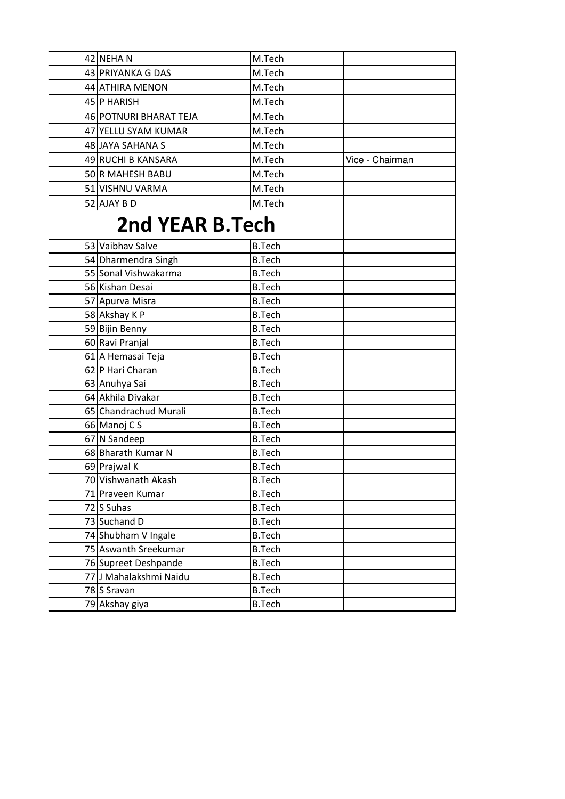| 42 NEHAN               | M.Tech        |                 |
|------------------------|---------------|-----------------|
| 43 PRIYANKA G DAS      | M.Tech        |                 |
| 44 ATHIRA MENON        | M.Tech        |                 |
| 45 P HARISH            | M.Tech        |                 |
| 46 POTNURI BHARAT TEJA | M.Tech        |                 |
| 47 YELLU SYAM KUMAR    | M.Tech        |                 |
| 48 JAYA SAHANA S       | M.Tech        |                 |
| 49 RUCHI B KANSARA     | M.Tech        | Vice - Chairman |
| 50 R MAHESH BABU       | M.Tech        |                 |
| 51 VISHNU VARMA        | M.Tech        |                 |
| 52 AJAY B D            | M.Tech        |                 |
|                        |               |                 |
| <b>2nd YEAR B.Tech</b> |               |                 |
| 53 Vaibhay Salve       | <b>B.Tech</b> |                 |
| 54 Dharmendra Singh    | <b>B.Tech</b> |                 |
| 55 Sonal Vishwakarma   | <b>B.Tech</b> |                 |
| 56 Kishan Desai        | <b>B.Tech</b> |                 |
| 57 Apurva Misra        | <b>B.Tech</b> |                 |
| 58 Akshay K P          | <b>B.Tech</b> |                 |
| 59 Bijin Benny         | <b>B.Tech</b> |                 |
| 60 Ravi Pranjal        | <b>B.Tech</b> |                 |
| 61 A Hemasai Teja      | <b>B.Tech</b> |                 |
| 62 P Hari Charan       | <b>B.Tech</b> |                 |
| 63 Anuhya Sai          | <b>B.Tech</b> |                 |
| 64 Akhila Divakar      | <b>B.Tech</b> |                 |
| 65 Chandrachud Murali  | <b>B.Tech</b> |                 |
| 66 Manoj C S           | <b>B.Tech</b> |                 |
| 67 N Sandeep           | <b>B.Tech</b> |                 |
| 68 Bharath Kumar N     | <b>B.Tech</b> |                 |
| 69 Prajwal K           | <b>B.Tech</b> |                 |
| 70 Vishwanath Akash    | <b>B.Tech</b> |                 |
| 71 Praveen Kumar       | <b>B.Tech</b> |                 |
| 72 S Suhas             | <b>B.Tech</b> |                 |
| 73 Suchand D           | <b>B.Tech</b> |                 |
| 74 Shubham V Ingale    | <b>B.Tech</b> |                 |
| 75 Aswanth Sreekumar   | <b>B.Tech</b> |                 |
| 76 Supreet Deshpande   | <b>B.Tech</b> |                 |
| 77 J Mahalakshmi Naidu | <b>B.Tech</b> |                 |
| 78S Sravan             | <b>B.Tech</b> |                 |
| 79 Akshay giya         | <b>B.Tech</b> |                 |